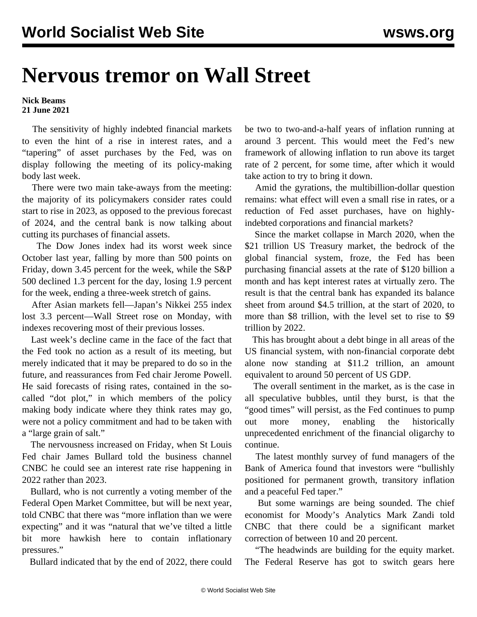## **Nervous tremor on Wall Street**

## **Nick Beams 21 June 2021**

 The sensitivity of highly indebted financial markets to even the hint of a rise in interest rates, and a "tapering" of asset purchases by the Fed, was on display following the meeting of its policy-making body last week.

 There were two main take-aways from the meeting: the majority of its policymakers consider rates could start to rise in 2023, as opposed to the previous forecast of 2024, and the central bank is now talking about cutting its purchases of financial assets.

 The Dow Jones index had its worst week since October last year, falling by more than 500 points on Friday, down 3.45 percent for the week, while the S&P 500 declined 1.3 percent for the day, losing 1.9 percent for the week, ending a three-week stretch of gains.

 After Asian markets fell—Japan's Nikkei 255 index lost 3.3 percent—Wall Street rose on Monday, with indexes recovering most of their previous losses.

 Last week's decline came in the face of the fact that the Fed took no action as a result of its meeting, but merely indicated that it may be prepared to do so in the future, and reassurances from Fed chair Jerome Powell. He said forecasts of rising rates, contained in the socalled "dot plot," in which members of the policy making body indicate where they think rates may go, were not a policy commitment and had to be taken with a "large grain of salt."

 The nervousness increased on Friday, when St Louis Fed chair James Bullard told the business channel CNBC he could see an interest rate rise happening in 2022 rather than 2023.

 Bullard, who is not currently a voting member of the Federal Open Market Committee, but will be next year, told CNBC that there was "more inflation than we were expecting" and it was "natural that we've tilted a little bit more hawkish here to contain inflationary pressures."

Bullard indicated that by the end of 2022, there could

be two to two-and-a-half years of inflation running at around 3 percent. This would meet the Fed's new framework of allowing inflation to run above its target rate of 2 percent, for some time, after which it would take action to try to bring it down.

 Amid the gyrations, the multibillion-dollar question remains: what effect will even a small rise in rates, or a reduction of Fed asset purchases, have on highlyindebted corporations and financial markets?

 Since the market collapse in March 2020, when the \$21 trillion US Treasury market, the bedrock of the global financial system, froze, the Fed has been purchasing financial assets at the rate of \$120 billion a month and has kept interest rates at virtually zero. The result is that the central bank has expanded its balance sheet from around \$4.5 trillion, at the start of 2020, to more than \$8 trillion, with the level set to rise to \$9 trillion by 2022.

 This has brought about a debt binge in all areas of the US financial system, with non-financial corporate debt alone now standing at \$11.2 trillion, an amount equivalent to around 50 percent of US GDP.

 The overall sentiment in the market, as is the case in all speculative bubbles, until they burst, is that the "good times" will persist, as the Fed continues to pump out more money, enabling the historically unprecedented enrichment of the financial oligarchy to continue.

 The latest monthly survey of fund managers of the Bank of America found that investors were "bullishly positioned for permanent growth, transitory inflation and a peaceful Fed taper."

 But some warnings are being sounded. The chief economist for Moody's Analytics Mark Zandi told CNBC that there could be a significant market correction of between 10 and 20 percent.

 "The headwinds are building for the equity market. The Federal Reserve has got to switch gears here